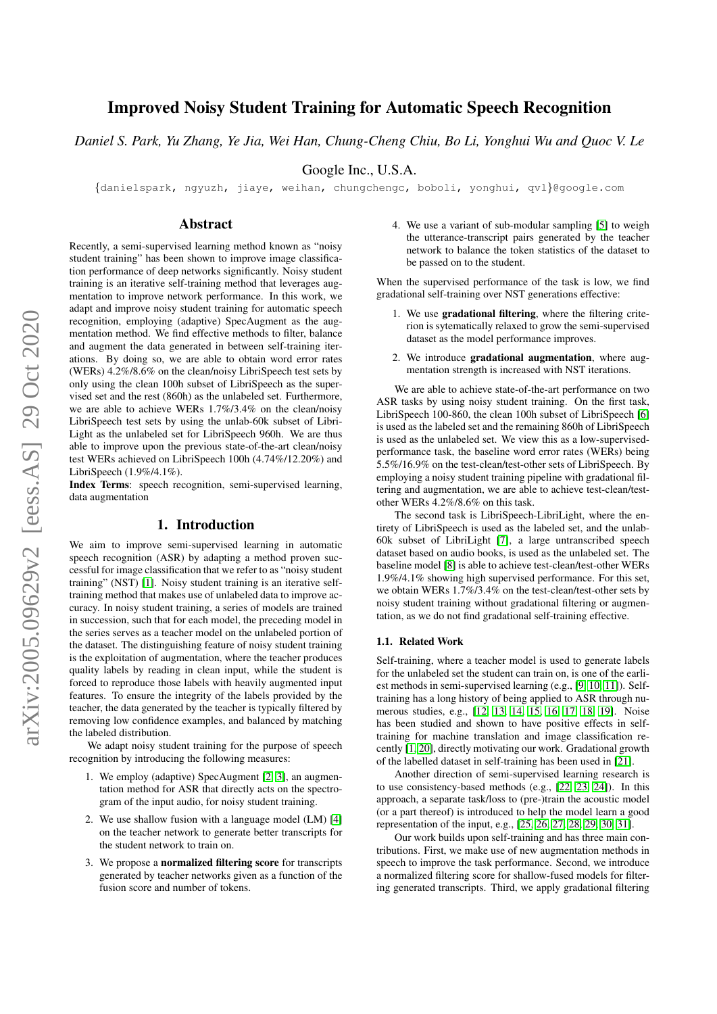# Improved Noisy Student Training for Automatic Speech Recognition

*Daniel S. Park, Yu Zhang, Ye Jia, Wei Han, Chung-Cheng Chiu, Bo Li, Yonghui Wu and Quoc V. Le*

Google Inc., U.S.A.

{danielspark, ngyuzh, jiaye, weihan, chungchengc, boboli, yonghui, qvl}@google.com

## Abstract

Recently, a semi-supervised learning method known as "noisy student training" has been shown to improve image classification performance of deep networks significantly. Noisy student training is an iterative self-training method that leverages augmentation to improve network performance. In this work, we adapt and improve noisy student training for automatic speech recognition, employing (adaptive) SpecAugment as the augmentation method. We find effective methods to filter, balance and augment the data generated in between self-training iterations. By doing so, we are able to obtain word error rates (WERs) 4.2%/8.6% on the clean/noisy LibriSpeech test sets by only using the clean 100h subset of LibriSpeech as the supervised set and the rest (860h) as the unlabeled set. Furthermore, we are able to achieve WERs 1.7%/3.4% on the clean/noisy LibriSpeech test sets by using the unlab-60k subset of Libri-Light as the unlabeled set for LibriSpeech 960h. We are thus able to improve upon the previous state-of-the-art clean/noisy test WERs achieved on LibriSpeech 100h (4.74%/12.20%) and LibriSpeech (1.9%/4.1%).

Index Terms: speech recognition, semi-supervised learning, data augmentation

## 1. Introduction

We aim to improve semi-supervised learning in automatic speech recognition (ASR) by adapting a method proven successful for image classification that we refer to as "noisy student training" (NST) [\[1\]](#page-4-0). Noisy student training is an iterative selftraining method that makes use of unlabeled data to improve accuracy. In noisy student training, a series of models are trained in succession, such that for each model, the preceding model in the series serves as a teacher model on the unlabeled portion of the dataset. The distinguishing feature of noisy student training is the exploitation of augmentation, where the teacher produces quality labels by reading in clean input, while the student is forced to reproduce those labels with heavily augmented input features. To ensure the integrity of the labels provided by the teacher, the data generated by the teacher is typically filtered by removing low confidence examples, and balanced by matching the labeled distribution.

We adapt noisy student training for the purpose of speech recognition by introducing the following measures:

- 1. We employ (adaptive) SpecAugment [\[2,](#page-4-1) [3\]](#page-4-2), an augmentation method for ASR that directly acts on the spectrogram of the input audio, for noisy student training.
- 2. We use shallow fusion with a language model (LM) [\[4\]](#page-4-3) on the teacher network to generate better transcripts for the student network to train on.
- 3. We propose a normalized filtering score for transcripts generated by teacher networks given as a function of the fusion score and number of tokens.

4. We use a variant of sub-modular sampling [\[5\]](#page-4-4) to weigh the utterance-transcript pairs generated by the teacher network to balance the token statistics of the dataset to be passed on to the student.

When the supervised performance of the task is low, we find gradational self-training over NST generations effective:

- 1. We use gradational filtering, where the filtering criterion is sytematically relaxed to grow the semi-supervised dataset as the model performance improves.
- 2. We introduce gradational augmentation, where augmentation strength is increased with NST iterations.

We are able to achieve state-of-the-art performance on two ASR tasks by using noisy student training. On the first task, LibriSpeech 100-860, the clean 100h subset of LibriSpeech [\[6\]](#page-4-5) is used as the labeled set and the remaining 860h of LibriSpeech is used as the unlabeled set. We view this as a low-supervisedperformance task, the baseline word error rates (WERs) being 5.5%/16.9% on the test-clean/test-other sets of LibriSpeech. By employing a noisy student training pipeline with gradational filtering and augmentation, we are able to achieve test-clean/testother WERs 4.2%/8.6% on this task.

The second task is LibriSpeech-LibriLight, where the entirety of LibriSpeech is used as the labeled set, and the unlab-60k subset of LibriLight [\[7\]](#page-4-6), a large untranscribed speech dataset based on audio books, is used as the unlabeled set. The baseline model [\[8\]](#page-4-7) is able to achieve test-clean/test-other WERs 1.9%/4.1% showing high supervised performance. For this set, we obtain WERs 1.7%/3.4% on the test-clean/test-other sets by noisy student training without gradational filtering or augmentation, as we do not find gradational self-training effective.

#### 1.1. Related Work

Self-training, where a teacher model is used to generate labels for the unlabeled set the student can train on, is one of the earliest methods in semi-supervised learning (e.g., [\[9,](#page-4-8) [10,](#page-4-9) [11\]](#page-4-10)). Selftraining has a long history of being applied to ASR through numerous studies, e.g., [\[12,](#page-4-11) [13,](#page-4-12) [14,](#page-4-13) [15,](#page-4-14) [16,](#page-4-15) [17,](#page-4-16) [18,](#page-4-17) [19\]](#page-4-18). Noise has been studied and shown to have positive effects in selftraining for machine translation and image classification recently [\[1,](#page-4-0) [20\]](#page-4-19), directly motivating our work. Gradational growth of the labelled dataset in self-training has been used in [\[21\]](#page-4-20).

Another direction of semi-supervised learning research is to use consistency-based methods (e.g., [\[22,](#page-4-21) [23,](#page-4-22) [24\]](#page-4-23)). In this approach, a separate task/loss to (pre-)train the acoustic model (or a part thereof) is introduced to help the model learn a good representation of the input, e.g., [\[25,](#page-4-24) [26,](#page-4-25) [27,](#page-4-26) [28,](#page-4-27) [29,](#page-4-28) [30,](#page-4-29) [31\]](#page-4-30).

Our work builds upon self-training and has three main contributions. First, we make use of new augmentation methods in speech to improve the task performance. Second, we introduce a normalized filtering score for shallow-fused models for filtering generated transcripts. Third, we apply gradational filtering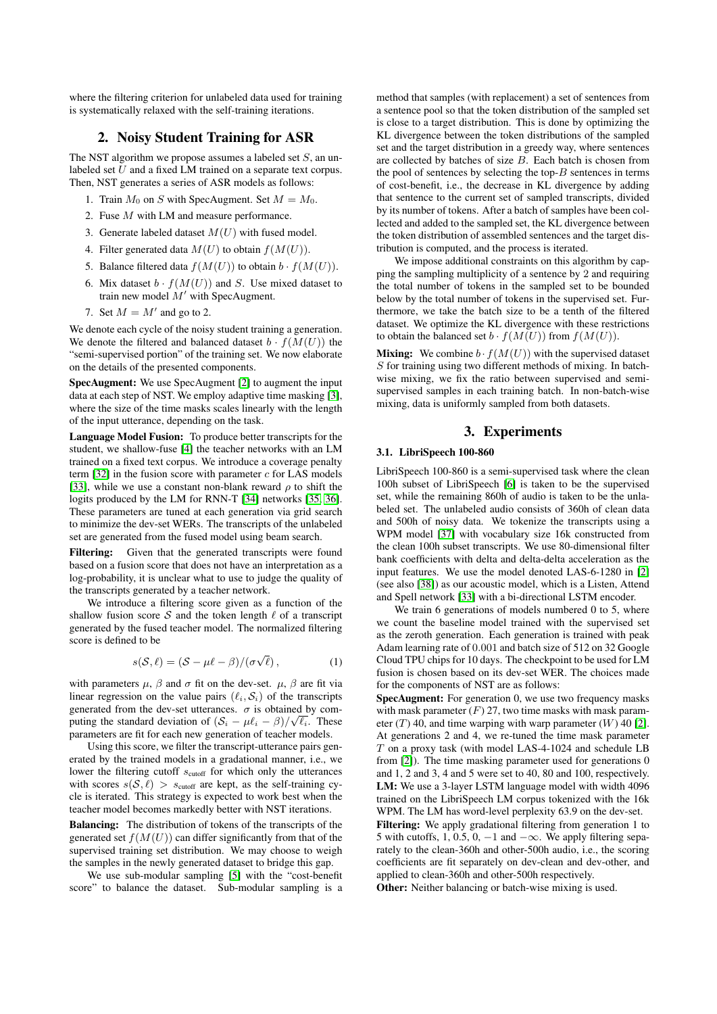where the filtering criterion for unlabeled data used for training is systematically relaxed with the self-training iterations.

## 2. Noisy Student Training for ASR

<span id="page-1-0"></span>The NST algorithm we propose assumes a labeled set  $S$ , an unlabeled set  $\bar{U}$  and a fixed LM trained on a separate text corpus. Then, NST generates a series of ASR models as follows:

- 1. Train  $M_0$  on S with SpecAugment. Set  $M = M_0$ .
- 2. Fuse M with LM and measure performance.
- 3. Generate labeled dataset  $M(U)$  with fused model.
- 4. Filter generated data  $M(U)$  to obtain  $f(M(U))$ .
- 5. Balance filtered data  $f(M(U))$  to obtain  $b \cdot f(M(U))$ .
- 6. Mix dataset  $b \cdot f(M(U))$  and S. Use mixed dataset to train new model  $M'$  with SpecAugment.
- 7. Set  $M = M'$  and go to 2.

We denote each cycle of the noisy student training a generation. We denote the filtered and balanced dataset  $b \cdot f(M(U))$  the "semi-supervised portion" of the training set. We now elaborate on the details of the presented components.

SpecAugment: We use SpecAugment [\[2\]](#page-4-1) to augment the input data at each step of NST. We employ adaptive time masking [\[3\]](#page-4-2), where the size of the time masks scales linearly with the length of the input utterance, depending on the task.

Language Model Fusion: To produce better transcripts for the student, we shallow-fuse [\[4\]](#page-4-3) the teacher networks with an LM trained on a fixed text corpus. We introduce a coverage penalty term  $[32]$  in the fusion score with parameter  $c$  for LAS models [\[33\]](#page-4-32), while we use a constant non-blank reward  $\rho$  to shift the logits produced by the LM for RNN-T [\[34\]](#page-4-33) networks [\[35,](#page-4-34) [36\]](#page-4-35). These parameters are tuned at each generation via grid search to minimize the dev-set WERs. The transcripts of the unlabeled set are generated from the fused model using beam search.

Filtering: Given that the generated transcripts were found based on a fusion score that does not have an interpretation as a log-probability, it is unclear what to use to judge the quality of the transcripts generated by a teacher network.

We introduce a filtering score given as a function of the shallow fusion score S and the token length  $\ell$  of a transcript generated by the fused teacher model. The normalized filtering score is defined to be

$$
s(S, \ell) = (S - \mu \ell - \beta) / (\sigma \sqrt{\ell}), \qquad (1)
$$

with parameters  $\mu$ ,  $\beta$  and  $\sigma$  fit on the dev-set.  $\mu$ ,  $\beta$  are fit via linear regression on the value pairs  $(\ell_i, S_i)$  of the transcripts generated from the dev-set utterances.  $\sigma$  is obtained by computing the standard deviation of  $(S_i - \mu \ell_i - \beta)/\sqrt{\ell_i}$ . These parameters are fit for each new generation of teacher models.

Using this score, we filter the transcript-utterance pairs generated by the trained models in a gradational manner, i.e., we lower the filtering cutoff  $s_{\text{cutoff}}$  for which only the utterances with scores  $s(S, \ell) > s_{\text{cutoff}}$  are kept, as the self-training cycle is iterated. This strategy is expected to work best when the teacher model becomes markedly better with NST iterations.

Balancing: The distribution of tokens of the transcripts of the generated set  $f(M(U))$  can differ significantly from that of the supervised training set distribution. We may choose to weigh the samples in the newly generated dataset to bridge this gap.

We use sub-modular sampling [\[5\]](#page-4-4) with the "cost-benefit score" to balance the dataset. Sub-modular sampling is a

method that samples (with replacement) a set of sentences from a sentence pool so that the token distribution of the sampled set is close to a target distribution. This is done by optimizing the KL divergence between the token distributions of the sampled set and the target distribution in a greedy way, where sentences are collected by batches of size  $B$ . Each batch is chosen from the pool of sentences by selecting the top- $B$  sentences in terms of cost-benefit, i.e., the decrease in KL divergence by adding that sentence to the current set of sampled transcripts, divided by its number of tokens. After a batch of samples have been collected and added to the sampled set, the KL divergence between the token distribution of assembled sentences and the target distribution is computed, and the process is iterated.

We impose additional constraints on this algorithm by capping the sampling multiplicity of a sentence by 2 and requiring the total number of tokens in the sampled set to be bounded below by the total number of tokens in the supervised set. Furthermore, we take the batch size to be a tenth of the filtered dataset. We optimize the KL divergence with these restrictions to obtain the balanced set  $b \cdot f(M(U))$  from  $f(M(U))$ .

**Mixing:** We combine  $b \cdot f(M(U))$  with the supervised dataset  $S$  for training using two different methods of mixing. In batchwise mixing, we fix the ratio between supervised and semisupervised samples in each training batch. In non-batch-wise mixing, data is uniformly sampled from both datasets.

## 3. Experiments

# <span id="page-1-1"></span>3.1. LibriSpeech 100-860

LibriSpeech 100-860 is a semi-supervised task where the clean 100h subset of LibriSpeech [\[6\]](#page-4-5) is taken to be the supervised set, while the remaining 860h of audio is taken to be the unlabeled set. The unlabeled audio consists of 360h of clean data and 500h of noisy data. We tokenize the transcripts using a WPM model [\[37\]](#page-4-36) with vocabulary size 16k constructed from the clean 100h subset transcripts. We use 80-dimensional filter bank coefficients with delta and delta-delta acceleration as the input features. We use the model denoted LAS-6-1280 in [\[2\]](#page-4-1) (see also [\[38\]](#page-4-37)) as our acoustic model, which is a Listen, Attend and Spell network [\[33\]](#page-4-32) with a bi-directional LSTM encoder.

We train 6 generations of models numbered 0 to 5, where we count the baseline model trained with the supervised set as the zeroth generation. Each generation is trained with peak Adam learning rate of 0.001 and batch size of 512 on 32 Google Cloud TPU chips for 10 days. The checkpoint to be used for LM fusion is chosen based on its dev-set WER. The choices made for the components of NST are as follows:

SpecAugment: For generation 0, we use two frequency masks with mask parameter  $(F)$  27, two time masks with mask parameter  $(T)$  40, and time warping with warp parameter  $(W)$  40 [\[2\]](#page-4-1). At generations 2 and 4, we re-tuned the time mask parameter T on a proxy task (with model LAS-4-1024 and schedule LB from [\[2\]](#page-4-1)). The time masking parameter used for generations 0 and 1, 2 and 3, 4 and 5 were set to 40, 80 and 100, respectively. LM: We use a 3-layer LSTM language model with width 4096 trained on the LibriSpeech LM corpus tokenized with the 16k WPM. The LM has word-level perplexity 63.9 on the dev-set.

Filtering: We apply gradational filtering from generation 1 to 5 with cutoffs, 1, 0.5, 0,  $-1$  and  $-\infty$ . We apply filtering separately to the clean-360h and other-500h audio, i.e., the scoring coefficients are fit separately on dev-clean and dev-other, and applied to clean-360h and other-500h respectively.

Other: Neither balancing or batch-wise mixing is used.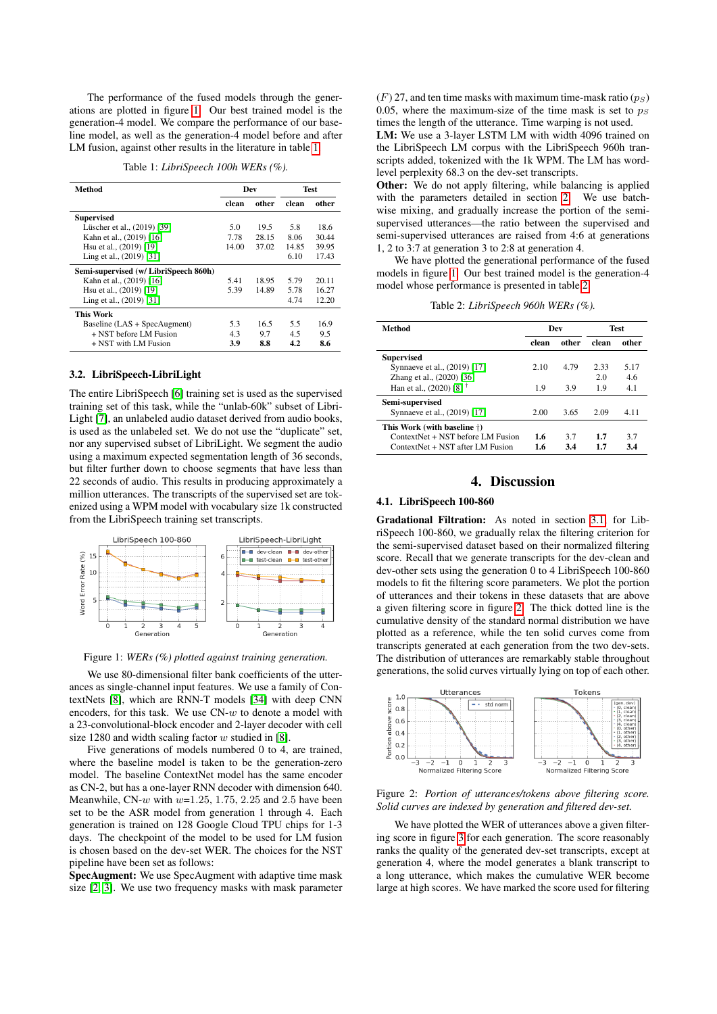The performance of the fused models through the generations are plotted in figure [1.](#page-2-0) Our best trained model is the generation-4 model. We compare the performance of our baseline model, as well as the generation-4 model before and after LM fusion, against other results in the literature in table [1.](#page-2-1)

Table 1: *LibriSpeech 100h WERs (%).*

<span id="page-2-1"></span>

| Method                                | Dev   |       | <b>Test</b> |       |
|---------------------------------------|-------|-------|-------------|-------|
|                                       | clean | other | clean       | other |
| <b>Supervised</b>                     |       |       |             |       |
| Lüscher et al., (2019) [39]           | 5.0   | 19.5  | 5.8         | 18.6  |
| Kahn et al., (2019) [16]              | 7.78  | 28.15 | 8.06        | 30.44 |
| Hsu et al., (2019) [19]               | 14.00 | 37.02 | 14.85       | 39.95 |
| Ling et al., (2019) [31]              |       |       | 6.10        | 17.43 |
| Semi-supervised (w/ LibriSpeech 860h) |       |       |             |       |
| Kahn et al., (2019) [16]              | 5.41  | 18.95 | 5.79        | 20.11 |
| Hsu et al., (2019) [19]               | 5.39  | 14.89 | 5.78        | 16.27 |
| Ling et al., (2019) [31]              |       |       | 4.74        | 12.20 |
| <b>This Work</b>                      |       |       |             |       |
| Baseline (LAS + SpecAugment)          | 5.3   | 16.5  | 5.5         | 16.9  |
| + NST before LM Fusion                | 4.3   | 9.7   | 4.5         | 9.5   |
| + NST with LM Fusion                  | 3.9   | 8.8   | 4.2         | 8.6   |

### 3.2. LibriSpeech-LibriLight

The entire LibriSpeech [\[6\]](#page-4-5) training set is used as the supervised training set of this task, while the "unlab-60k" subset of Libri-Light [\[7\]](#page-4-6), an unlabeled audio dataset derived from audio books, is used as the unlabeled set. We do not use the "duplicate" set, nor any supervised subset of LibriLight. We segment the audio using a maximum expected segmentation length of 36 seconds, but filter further down to choose segments that have less than 22 seconds of audio. This results in producing approximately a million utterances. The transcripts of the supervised set are tokenized using a WPM model with vocabulary size 1k constructed from the LibriSpeech training set transcripts.

<span id="page-2-0"></span>

Figure 1: *WERs (%) plotted against training generation.*

We use 80-dimensional filter bank coefficients of the utterances as single-channel input features. We use a family of ContextNets [\[8\]](#page-4-7), which are RNN-T models [\[34\]](#page-4-33) with deep CNN encoders, for this task. We use  $CN-w$  to denote a model with a 23-convolutional-block encoder and 2-layer decoder with cell size 1280 and width scaling factor  $w$  studied in [\[8\]](#page-4-7).

Five generations of models numbered 0 to 4, are trained, where the baseline model is taken to be the generation-zero model. The baseline ContextNet model has the same encoder as CN-2, but has a one-layer RNN decoder with dimension 640. Meanwhile, CN- $w$  with  $w=1.25$ , 1.75, 2.25 and 2.5 have been set to be the ASR model from generation 1 through 4. Each generation is trained on 128 Google Cloud TPU chips for 1-3 days. The checkpoint of the model to be used for LM fusion is chosen based on the dev-set WER. The choices for the NST pipeline have been set as follows:

SpecAugment: We use SpecAugment with adaptive time mask size [\[2,](#page-4-1) [3\]](#page-4-2). We use two frequency masks with mask parameter  $(F)$  27, and ten time masks with maximum time-mask ratio  $(p_S)$ 0.05, where the maximum-size of the time mask is set to  $p<sub>S</sub>$ times the length of the utterance. Time warping is not used.

LM: We use a 3-layer LSTM LM with width 4096 trained on the LibriSpeech LM corpus with the LibriSpeech 960h transcripts added, tokenized with the 1k WPM. The LM has wordlevel perplexity 68.3 on the dev-set transcripts.

Other: We do not apply filtering, while balancing is applied with the parameters detailed in section [2.](#page-1-0) We use batchwise mixing, and gradually increase the portion of the semisupervised utterances—the ratio between the supervised and semi-supervised utterances are raised from 4:6 at generations 1, 2 to 3:7 at generation 3 to 2:8 at generation 4.

We have plotted the generational performance of the fused models in figure [1.](#page-2-0) Our best trained model is the generation-4 model whose performance is presented in table [2.](#page-2-2)

Table 2: *LibriSpeech 960h WERs (%).*

<span id="page-2-2"></span>

| Method                              | Dev   |       | <b>Test</b> |       |
|-------------------------------------|-------|-------|-------------|-------|
|                                     | clean | other | clean       | other |
| <b>Supervised</b>                   |       |       |             |       |
| Synnaeve et al., (2019) [17]        | 2.10  | 4.79  | 2.33        | 5.17  |
| Zhang et al., (2020) [36]           |       |       | 2.0         | 46    |
| Han et al., (2020) [8] $^{\dagger}$ | 1.9   | 3.9   | 1.9         | 4.1   |
| Semi-supervised                     |       |       |             |       |
| Synnaeve et al., (2019) [17]        | 2.00  | 3.65  | 2.09        | 4 1 1 |
| This Work (with baseline †)         |       |       |             |       |
| ContextNet + NST before LM Fusion   | 1.6   | 3.7   | 1.7         | 37    |
| ContextNet + NST after LM Fusion    | 1.6   | 3.4   | 1.7         | 3.4   |

## 4. Discussion

#### 4.1. LibriSpeech 100-860

Gradational Filtration: As noted in section [3.1,](#page-1-1) for LibriSpeech 100-860, we gradually relax the filtering criterion for the semi-supervised dataset based on their normalized filtering score. Recall that we generate transcripts for the dev-clean and dev-other sets using the generation 0 to 4 LibriSpeech 100-860 models to fit the filtering score parameters. We plot the portion of utterances and their tokens in these datasets that are above a given filtering score in figure [2.](#page-2-3) The thick dotted line is the cumulative density of the standard normal distribution we have plotted as a reference, while the ten solid curves come from transcripts generated at each generation from the two dev-sets. The distribution of utterances are remarkably stable throughout generations, the solid curves virtually lying on top of each other.

<span id="page-2-3"></span>

Figure 2: *Portion of utterances/tokens above filtering score. Solid curves are indexed by generation and filtered dev-set.*

We have plotted the WER of utterances above a given filtering score in figure [3](#page-3-0) for each generation. The score reasonably ranks the quality of the generated dev-set transcripts, except at generation 4, where the model generates a blank transcript to a long utterance, which makes the cumulative WER become large at high scores. We have marked the score used for filtering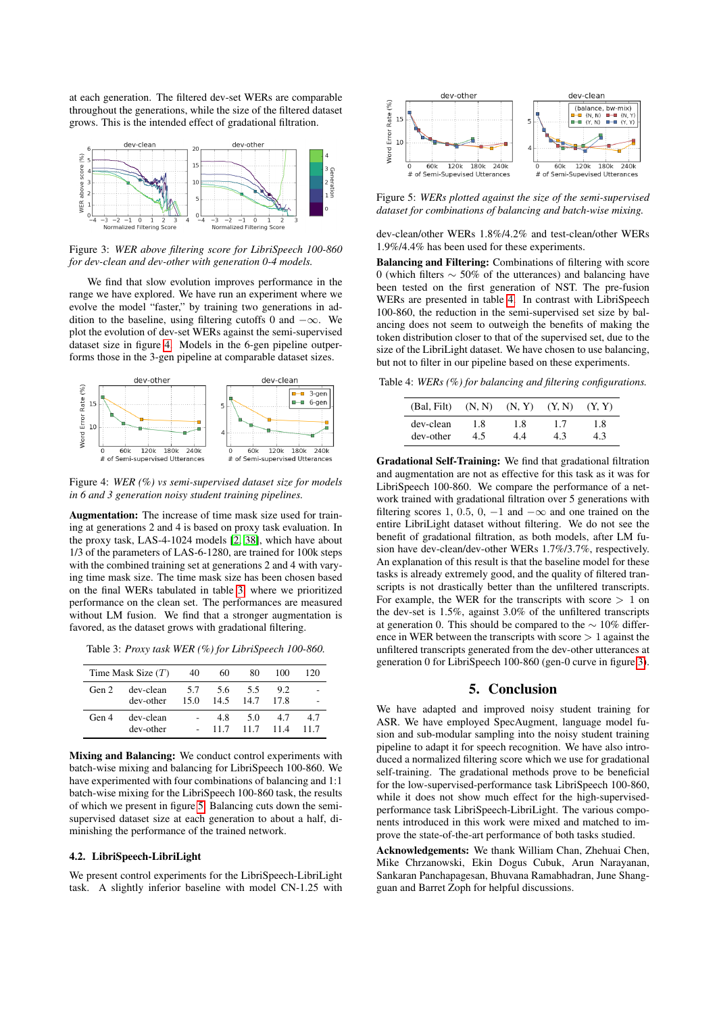at each generation. The filtered dev-set WERs are comparable throughout the generations, while the size of the filtered dataset grows. This is the intended effect of gradational filtration.

<span id="page-3-0"></span>

Figure 3: *WER above filtering score for LibriSpeech 100-860 for dev-clean and dev-other with generation 0-4 models.*

We find that slow evolution improves performance in the range we have explored. We have run an experiment where we evolve the model "faster," by training two generations in addition to the baseline, using filtering cutoffs 0 and  $-\infty$ . We plot the evolution of dev-set WERs against the semi-supervised dataset size in figure [4.](#page-3-1) Models in the 6-gen pipeline outperforms those in the 3-gen pipeline at comparable dataset sizes.

<span id="page-3-1"></span>

Figure 4: *WER (%) vs semi-supervised dataset size for models in 6 and 3 generation noisy student training pipelines.*

Augmentation: The increase of time mask size used for training at generations 2 and 4 is based on proxy task evaluation. In the proxy task, LAS-4-1024 models [\[2,](#page-4-1) [38\]](#page-4-37), which have about 1/3 of the parameters of LAS-6-1280, are trained for 100k steps with the combined training set at generations 2 and 4 with varying time mask size. The time mask size has been chosen based on the final WERs tabulated in table [3,](#page-3-2) where we prioritized performance on the clean set. The performances are measured without LM fusion. We find that a stronger augmentation is favored, as the dataset grows with gradational filtering.

<span id="page-3-2"></span>Table 3: *Proxy task WER (%) for LibriSpeech 100-860.*

|       | Time Mask Size $(T)$ | 40   | 60          | 80   | 100  | 120  |
|-------|----------------------|------|-------------|------|------|------|
| Gen 2 | dev-clean            |      | 5.7 5.6 5.5 |      | 9.2  |      |
|       | dev-other            | 15.0 | 14.5 14.7   |      | 17.8 |      |
| Gen 4 | dev-clean            |      | 4.8         | 5.0  | 4.7  | 4.7  |
|       | dev-other            |      | 11.7        | 11.7 | 114  | 11.7 |

Mixing and Balancing: We conduct control experiments with batch-wise mixing and balancing for LibriSpeech 100-860. We have experimented with four combinations of balancing and 1:1 batch-wise mixing for the LibriSpeech 100-860 task, the results of which we present in figure [5.](#page-3-3) Balancing cuts down the semisupervised dataset size at each generation to about a half, diminishing the performance of the trained network.

#### 4.2. LibriSpeech-LibriLight

We present control experiments for the LibriSpeech-LibriLight task. A slightly inferior baseline with model CN-1.25 with

<span id="page-3-3"></span>

Figure 5: *WERs plotted against the size of the semi-supervised dataset for combinations of balancing and batch-wise mixing.*

dev-clean/other WERs 1.8%/4.2% and test-clean/other WERs 1.9%/4.4% has been used for these experiments.

Balancing and Filtering: Combinations of filtering with score 0 (which filters ∼ 50% of the utterances) and balancing have been tested on the first generation of NST. The pre-fusion WERs are presented in table [4.](#page-3-4) In contrast with LibriSpeech 100-860, the reduction in the semi-supervised set size by balancing does not seem to outweigh the benefits of making the token distribution closer to that of the supervised set, due to the size of the LibriLight dataset. We have chosen to use balancing, but not to filter in our pipeline based on these experiments.

<span id="page-3-4"></span>Table 4: *WERs (%) for balancing and filtering configurations.*

| (Bal, Filt) | (N, N) | (N, Y) | (Y, N) | (Y, Y) |
|-------------|--------|--------|--------|--------|
| dev-clean   | 1.8    | 1.8    | 1.7    | 1.8    |
| dev-other   | 4.5    | 44     | 4.3    |        |

Gradational Self-Training: We find that gradational filtration and augmentation are not as effective for this task as it was for LibriSpeech 100-860. We compare the performance of a network trained with gradational filtration over 5 generations with filtering scores 1, 0.5, 0,  $-1$  and  $-\infty$  and one trained on the entire LibriLight dataset without filtering. We do not see the benefit of gradational filtration, as both models, after LM fusion have dev-clean/dev-other WERs 1.7%/3.7%, respectively. An explanation of this result is that the baseline model for these tasks is already extremely good, and the quality of filtered transcripts is not drastically better than the unfiltered transcripts. For example, the WER for the transcripts with score  $> 1$  on the dev-set is 1.5%, against 3.0% of the unfiltered transcripts at generation 0. This should be compared to the ∼ 10% difference in WER between the transcripts with score  $> 1$  against the unfiltered transcripts generated from the dev-other utterances at generation 0 for LibriSpeech 100-860 (gen-0 curve in figure [3\)](#page-3-0).

## 5. Conclusion

We have adapted and improved noisy student training for ASR. We have employed SpecAugment, language model fusion and sub-modular sampling into the noisy student training pipeline to adapt it for speech recognition. We have also introduced a normalized filtering score which we use for gradational self-training. The gradational methods prove to be beneficial for the low-supervised-performance task LibriSpeech 100-860, while it does not show much effect for the high-supervisedperformance task LibriSpeech-LibriLight. The various components introduced in this work were mixed and matched to improve the state-of-the-art performance of both tasks studied.

Acknowledgements: We thank William Chan, Zhehuai Chen, Mike Chrzanowski, Ekin Dogus Cubuk, Arun Narayanan, Sankaran Panchapagesan, Bhuvana Ramabhadran, June Shangguan and Barret Zoph for helpful discussions.